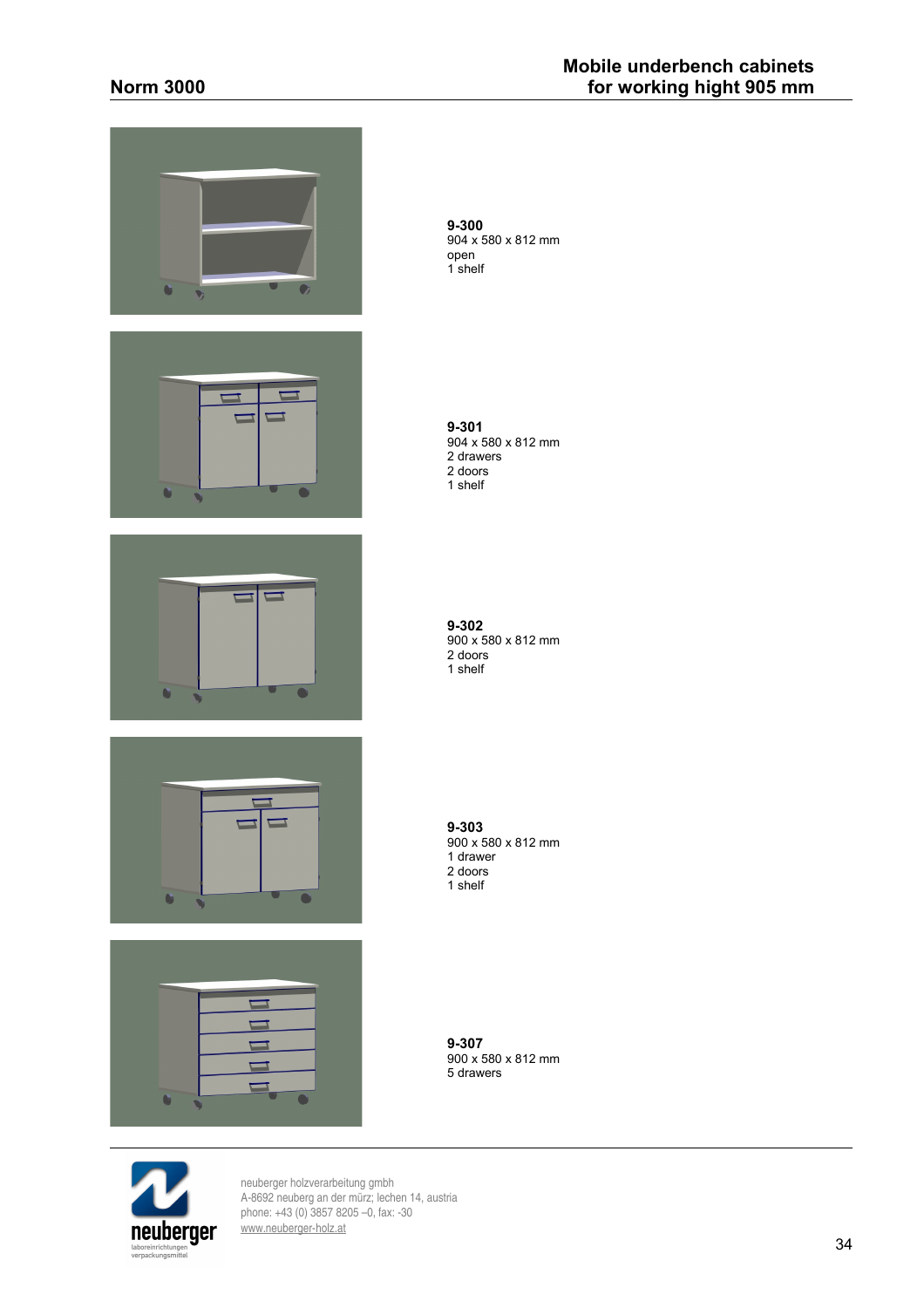









**9-300** 904 x 580 x 812 mm open 1 shelf

**9-301** 904 x 580 x 812 mm 2 drawers 2 doors 1 shelf

**9-302** 900 x 580 x 812 mm 2 doors 1 shelf

**9-303** 900 x 580 x 812 mm 1 drawer 2 doors 1 shelf

**9-307** 900 x 580 x 812 mm 5 drawers

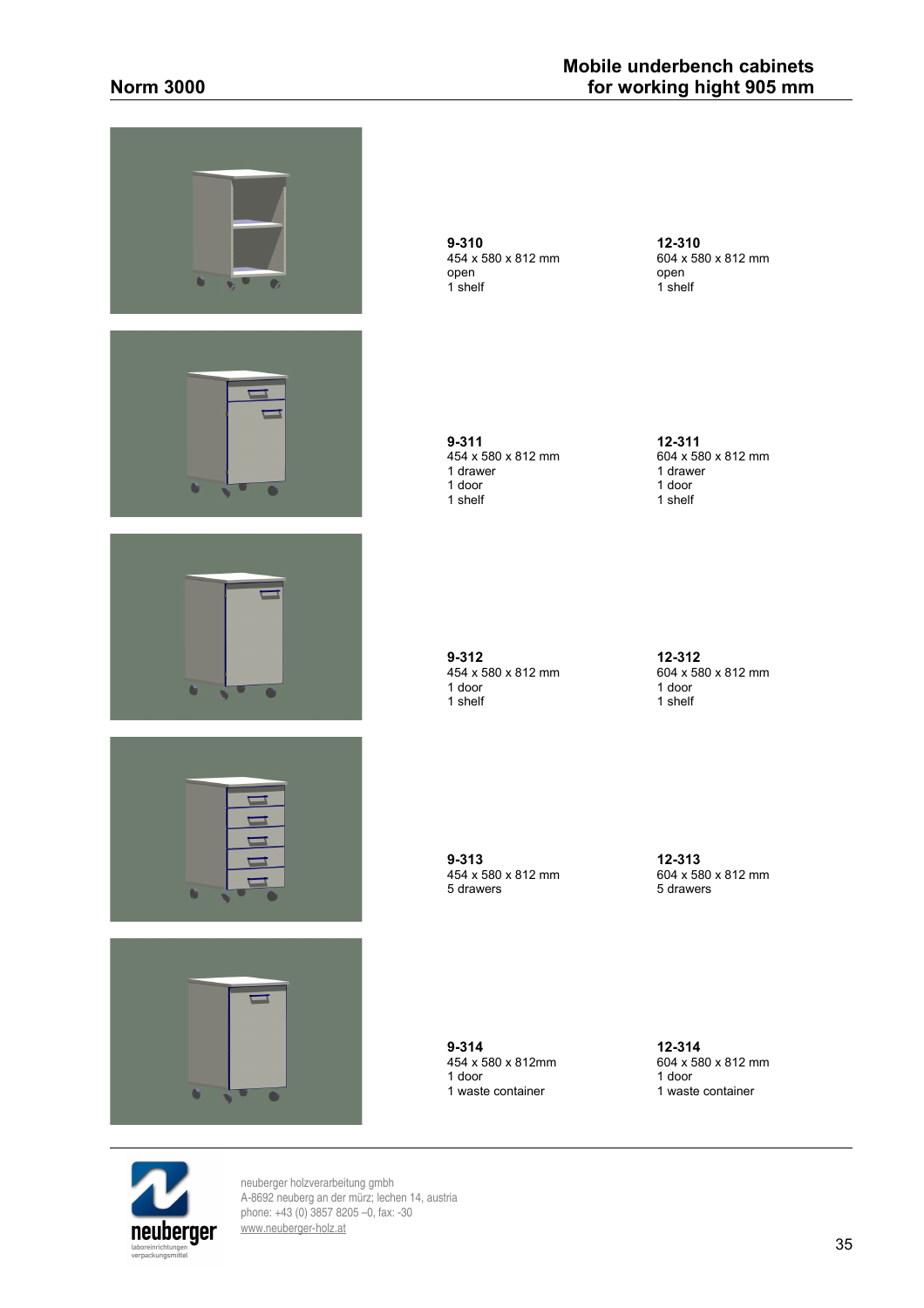| $\bullet$<br>v<br>$\bullet$<br>۰. | $9 - 310$<br>454 x 580 x 812 mm<br>open<br>1 shelf               | 12-310<br>604 x 580 x 812 mm<br>open<br>1 shelf               |
|-----------------------------------|------------------------------------------------------------------|---------------------------------------------------------------|
| σ                                 | $9 - 311$<br>454 x 580 x 812 mm<br>1 drawer<br>1 door<br>1 shelf | 12-311<br>604 x 580 x 812 mm<br>1 drawer<br>1 door<br>1 shelf |
| O.                                | $9 - 312$<br>454 x 580 x 812 mm<br>1 door<br>1 shelf             | 12-312<br>604 x 580 x 812 mm<br>1 door<br>1 shelf             |
| o                                 | $9 - 313$<br>454 x 580 x 812 mm<br>5 drawers                     | 12-313<br>604 x 580 x 812 mm<br>5 drawers                     |
|                                   | $9 - 314$<br>454 x 580 x 812mm<br>1 door<br>1 waste container    | 12-314<br>604 x 580 x 812 mm<br>1 door<br>1 waste container   |

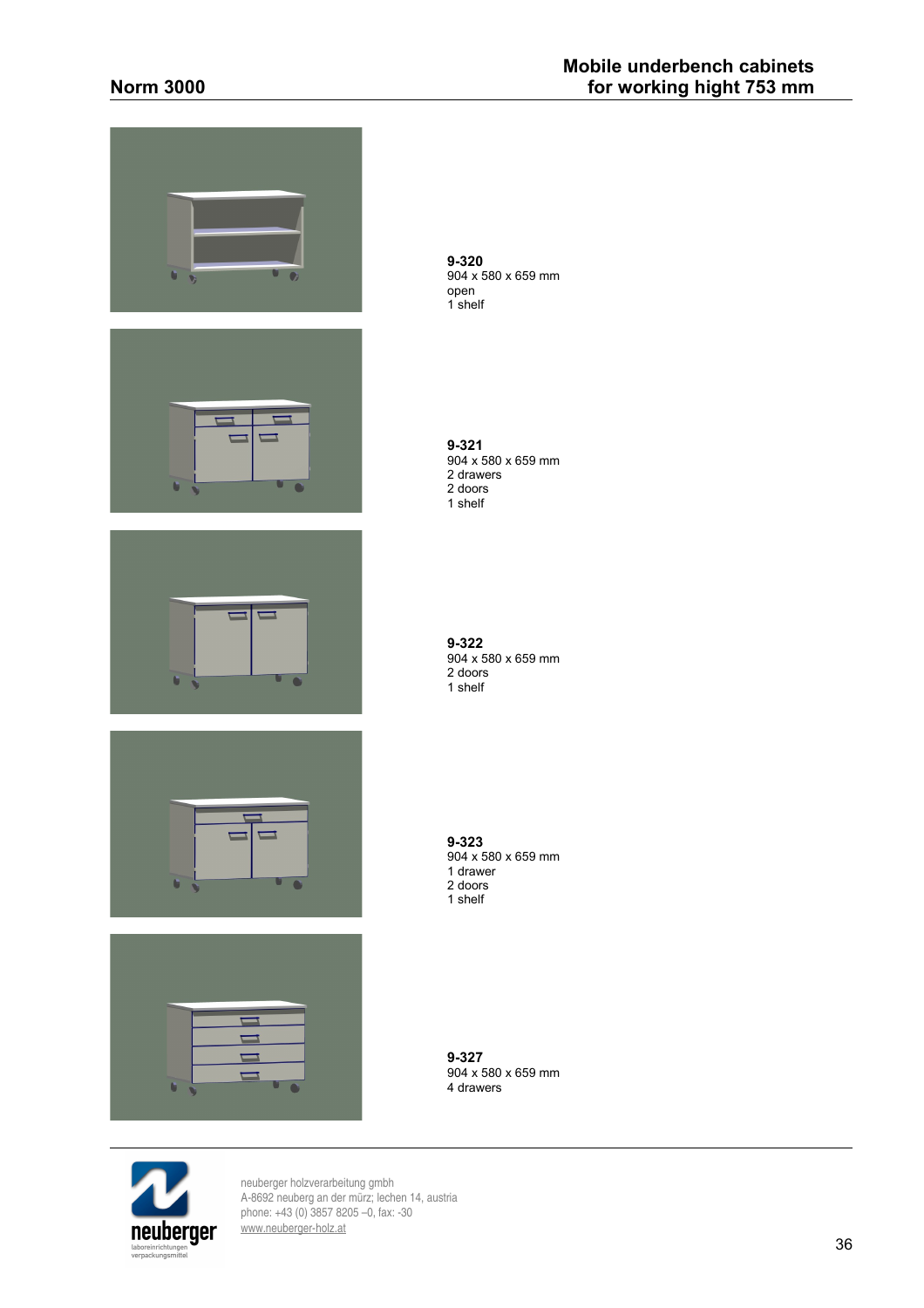

**9-320** 904 x 580 x 659 mm open 1 shelf

**9-321** 904 x 580 x 659 mm 2 drawers 2 doors 1 shelf

**9-322** 904 x 580 x 659 mm 2 doors 1 shelf

**9-323** 904 x 580 x 659 mm 1 drawer 2 doors 1 shelf

**9-327** 904 x 580 x 659 mm 4 drawers

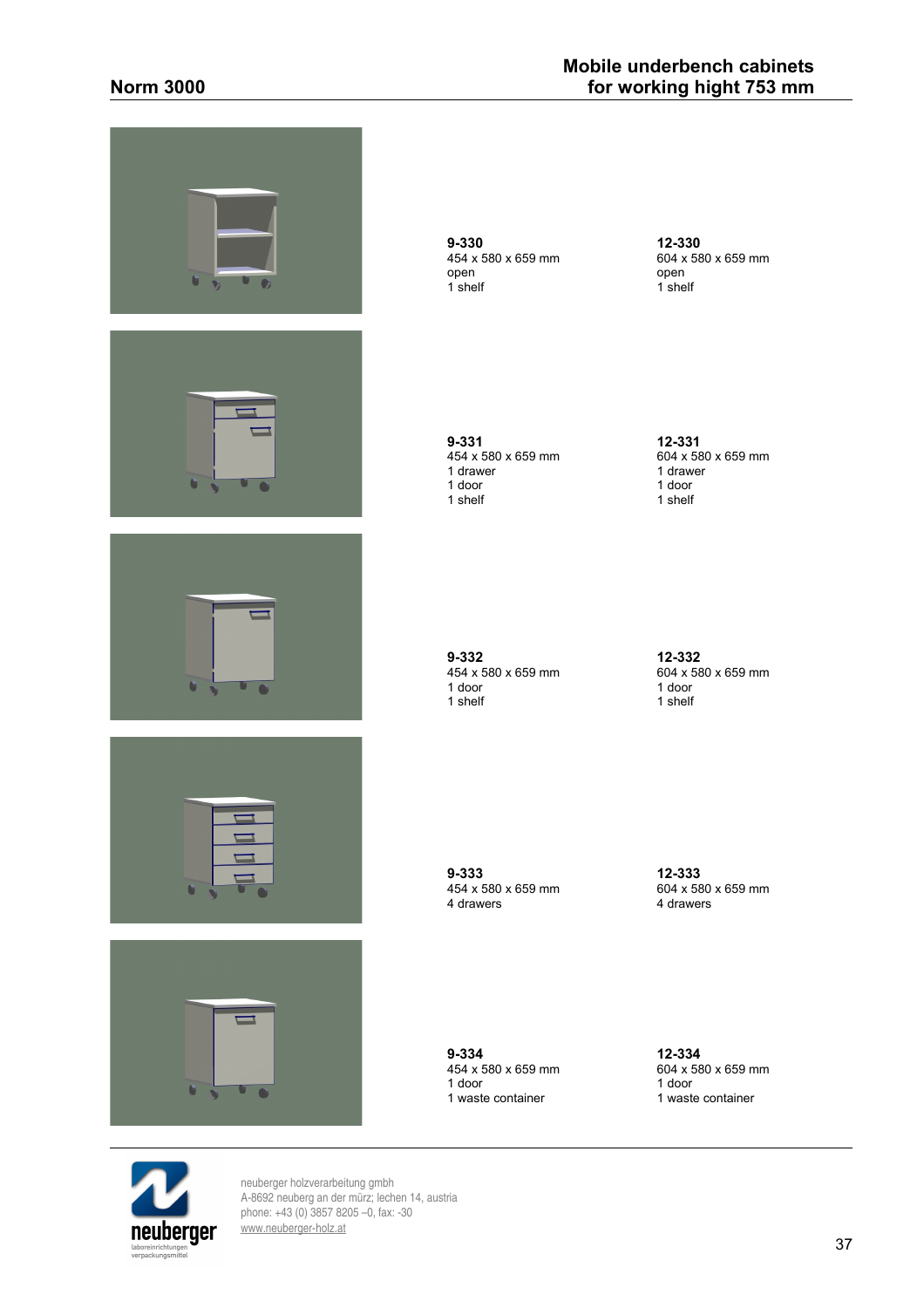| $\mathbf{U}$           | 9-330<br>454 x 580 x 659 mm<br>open<br>1 shelf                   | 12-330<br>604 x 580 x 659 mm<br>open<br>$1$ shelf             |
|------------------------|------------------------------------------------------------------|---------------------------------------------------------------|
| ٠                      | $9 - 331$<br>454 x 580 x 659 mm<br>1 drawer<br>1 door<br>1 shelf | 12-331<br>604 x 580 x 659 mm<br>1 drawer<br>1 door<br>1 shelf |
|                        | 9-332<br>454 x 580 x 659 mm<br>1 door<br>1 shelf                 | 12-332<br>604 x 580 x 659 mm<br>1 door<br>1 shelf             |
| ٠                      | 9-333<br>454 x 580 x 659 mm<br>4 drawers                         | 12-333<br>604 x 580 x 659 mm<br>4 drawers                     |
| $\bullet$<br>$\bullet$ | 9-334<br>454 x 580 x 659 mm<br>1 door<br>1 waste container       | 12-334<br>604 x 580 x 659 mm<br>1 door<br>1 waste container   |

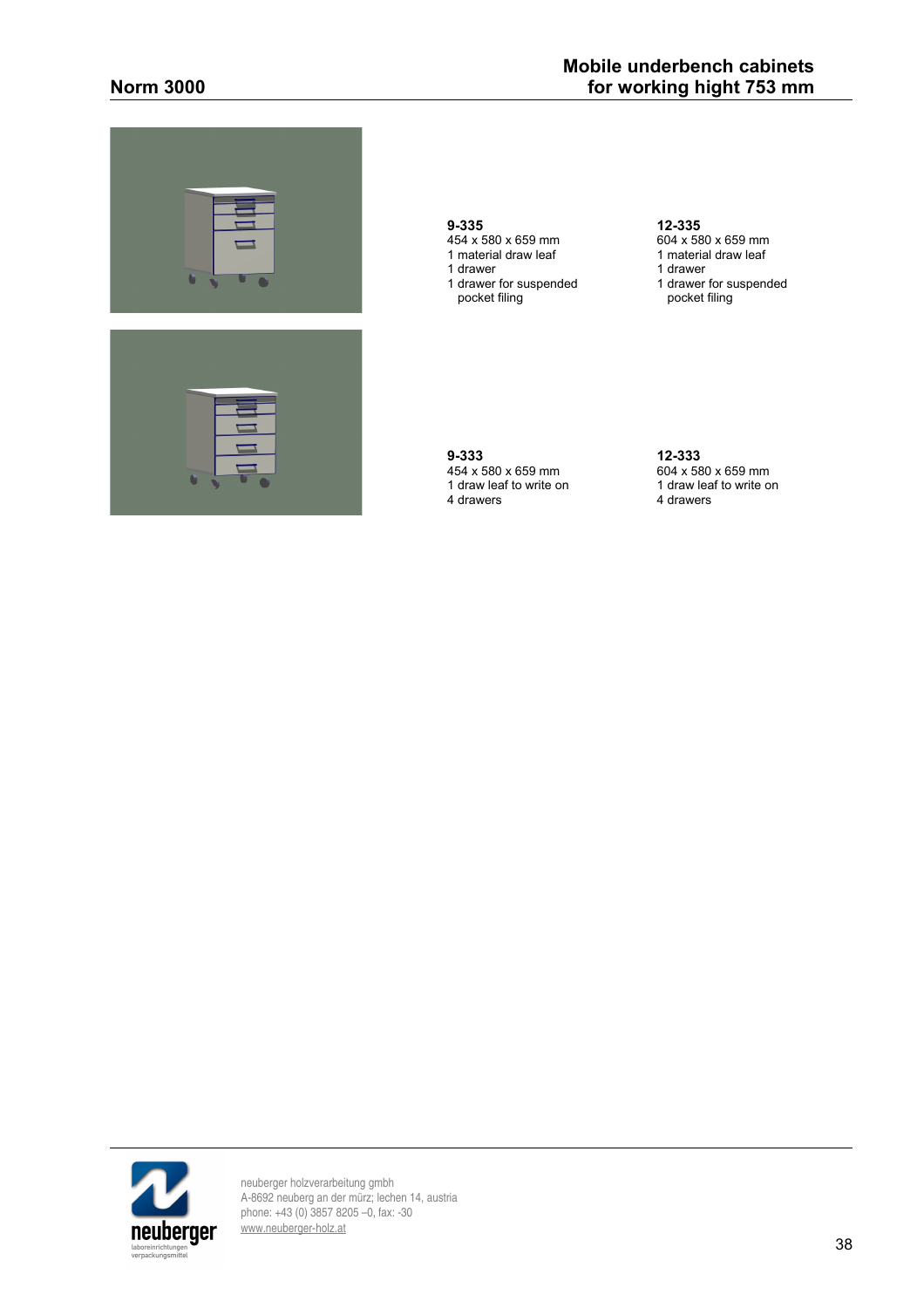



**9-335 12-335**<br>454 x 580 x 659 mm<br>604 x 580 x 659 mm 454 x 580 x 659 mm 604 x 580 x 659 mm 1 material draw leaf 1 material draw leaf 1 drawer<br>1 drawer for suspended 1 drawer

pocket filing pocket filing

- 
- 
- 1 drawer for suspended<br>pocket filing

**9-333 12-333** 454 x 580 x 659 mm 604 x 580 x 659 mm 1 draw leaf to write on 1 draw leaf to write on 1 draw leaf 4 drawers 4 drawers